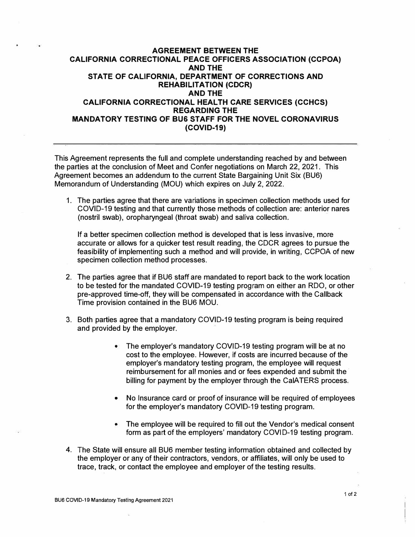## **AGREEMENT BETWEEN THE CALIFORNIA CORRECTIONAL PEACE OFFICERS ASSOCIATION (CCPOA) AND THE STATE OF CALIFORNIA, DEPARTMENT OF CORRECTIONS AND REHABILITATION (CDCR) AND THE CALIFORNIA CORRECTIONAL HEAL TH CARE SERVICES (CCHCS) REGARDING THE MANDATORY TESTING OF BUS STAFF FOR THE NOVEL CORONAVIRUS (COVID-19)**

This Agreement represents the full and complete understanding reached by and between the parties at the conclusion of Meet and Confer negotiations on March 22, 2021. This Agreement becomes an addendum to the current State Bargaining Unit Six (BU6) Memorandum of Understanding (MOU) which expires on July 2, 2022.

1. The parties agree that there are variations in specimen collection methods used for COVID-19 testing and that currently those methods of collection are: anterior nares (nostril swab), oropharyngeal (throat swab) and saliva collection.

If a better specimen collection method is developed that is less invasive, more accurate or allows for a quicker test result reading, the CDCR agrees to pursue the feasibility of implementing such a method and will provide, in writing, CCPOA of new specimen collection method processes.

- 2. The parties agree that if BU6 staff are mandated to report back to the work location to be tested for the mandated COVID-19 testing program on either an RDO, or other pre-approved time-off, they will be compensated in accordance with the Callback Time provision contained in the BU6 MOU.
- 3. Both parties agree that a mandatory COVID-19 testing program is being required and provided by the employer.
	- The employer's mandatory COVID-19 testing program will be at no cost to the employee. However, if costs are incurred because of the employer's mandatory testing program, the employee will request reimbursement for all monies and or fees expended and submit the billing for payment by the employer through the CalATERS process.
	- No Insurance card or proof of insurance will be required of employees for the employer's mandatory COVID-19 testing program.
	- The employee will be required to fill out the Vendor's medical consent form as part of the employers' mandatory COVID-19 testing program.
- 4. The State will ensure all BU6 member testing information obtained and collected by the employer or any of their contractors, vendors, or affiliates, will only be used to trace, track, or contact the employee and employer of the testing results.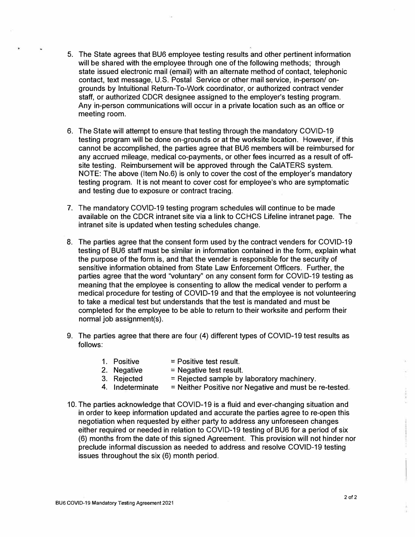- 5. The State agrees that BU6 employee testing results and other pertinent information will be shared with the employee through one of the following methods; through state issued electronic mail (email) with an alternate method of contact, telephonic contact, text message, U.S. Postal Service or other mail service, in-person/ ongrounds by lntuitional Return-To-Work coordinator, or authorized contract vender staff, or authorized CDCR designee assigned to the employer's testing program. Any in-person communications will occur in a private location such as an office or meeting room.
- 6. The State will attempt to ensure that testing through the mandatory COVID-19 testing program will be done on-grounds or at the worksite location. However, if this cannot be accomplished, the parties agree that BU6 members will be reimbursed for any accrued mileage, medical co-payments, or other fees incurred as a result of offsite testing. Reimbursement will be approved through the CalATERS system. NOTE: The above (Item No.6) is only to cover the cost of the employer's mandatory testing program. It is not meant to cover cost for employee's who are symptomatic and testing due to exposure or contract tracing.
- 7. The mandatory COVID-19 testing program schedules will continue to be made available on the CDCR intranet site via a link to CCHCS Lifeline intranet page. The intranet site is updated when testing schedules change.
- 8. The parties agree that the consent form used by the contract venders for COVID-19 testing of BU6 staff must be similar in information contained in the form, explain what the purpose of the form is, and that the vender is responsible for the security of sensitive information obtained from State Law Enforcement Officers. Further, the parties agree that the word "voluntary" on any consent form for COVID-19 testing as meaning that the employee is consenting to allow the medical vender to perform a medical procedure for testing of COVID-19 and that the employee is not volunteering to take a medical test but understands that the test is mandated and must be completed for the employee to be able to return to their worksite and perform their normal job assignment(s).
- 9. The parties agree that there are four (4) different types of COVID-19 test results as follows:
	- 1. Positive  $=$  Positive test result.
	- 2. Negative  $=$  Negative test result.
	- 3. Rejected  $=$  Rejected sample by laboratory machinery.
	- 4. Indeterminate  $=$  Neither Positive nor Negative and must be re-tested.
- 10. The parties acknowledge that COVID-19 is a fluid and ever-changing situation and in order to keep information updated and accurate the parties agree to re-open this negotiation when requested by either party to address any unforeseen changes either required or needed in relation to COVID-19 testing of BU6 for a period of six (6) months from the date of this signed Agreement. This provision will not hinder nor preclude informal discussion as needed to address and resolve COVID-19 testing issues throughout the six (6) month period.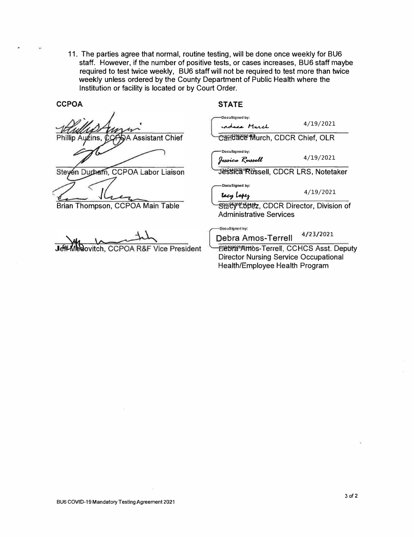11. The parties agree that normal, routine testing, will be done once weekly for BU6 staff. However, if the number of positive tests, or cases increases, BU6 staff maybe required to test twice weekly, BU6 staff will not be required to test more than twice weekly unless ordered by the County Department of Public Health where the Institution or facility is located or by Court Order.

**CCPOA** 

**Phillip** uźins **Assistant Chief** 

Steyen Durbam, CCPOA Labor Liaison

Brian Thompson, CCPOA Main Table

**Novitch, CCPOA R&F Vice Presi** 

## **STATE**

|      | DocuSigned by:                                                                                       |           |
|------|------------------------------------------------------------------------------------------------------|-----------|
|      | ce Murch                                                                                             | 4/19/2021 |
|      | Candace Murch, CDCR Chief, OLR                                                                       |           |
|      | DocuSigned by:<br>kssica Russell                                                                     | 4/19/2021 |
|      | Jessica Rüssell, CDCR LRS, Notetaker                                                                 |           |
|      | DocuSigned by:<br>lacy Lopez                                                                         | 4/19/2021 |
|      | Staty Lttez, CDCR Director, Division of<br><b>Administrative Services</b>                            |           |
|      | DocuSigned by:<br><b>Debra Amos-Terrell</b>                                                          | 4/23/2021 |
| dent | <b><i>ම්මාස</i>®Amos-Terrell, CCHCS Asst. Deputy</b><br><b>Director Nursing Service Occupational</b> |           |

Director Nursing Service Occupational Health/Employee Health Program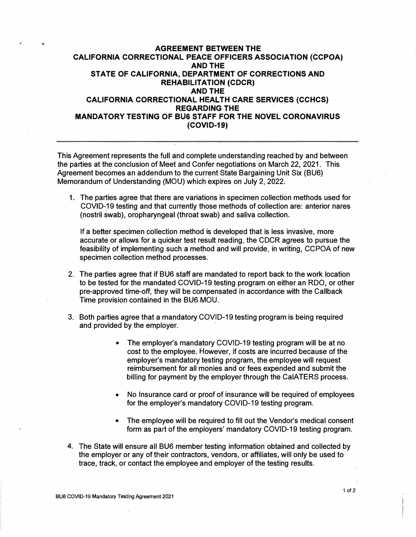## **AGREEMENT BETWEEN THE CALIFORNIA CORRECTIONAL PEACE OFFICERS ASSOCIATION (CCPOA) AND THE STATE OF CALIFORNIA, DEPARTMENT OF CORRECTIONS AND REHABILITATION (CDCR) AND THE CALIFORNIA CORRECTIONAL HEAL TH CARE SERVICES (CCHCS) REGARDING THE MANDATORY TESTING OF BU& STAFF FOR THE NOVEL CORONAVIRUS (COVID-19)**

This Agreement represents the full and complete understanding reached by and between the parties at the conclusion of Meet and Confer negotiations on March 22, 2021. This Agreement becomes an addendum to the current State Bargaining Unit Six (BU6) Memorandum of Understanding (MOU) which expires on July 2, 2022.

1. The parties agree that there are variations in specimen collection methods used for COVID-19 testing and that currently those methods of collection are: anterior nares (nostril swab), oropharyngeal (throat swab) and saliva collection.

If a better specimen collection method is developed that is less invasive, more accurate or allows for a quicker test result reading, the CDCR agrees to pursue the feasibility of implementing such a method and will provide, in writing, CCPOA of new specimen collection method processes.

- 2. The parties agree that if BU6 staff are mandated to report back to the work location to be tested for the mandated COVID-19 testing program on either an RDO, or other pre-approved time-off, they will be compensated in accordance with the Callback Time provision contained in the BU6 MOU.
- 3. Both parties agree that a mandatory COVID-19 testing program is being required and provided by the employer.
	- The employer's mandatory COVID-19 testing program will be at no cost to the employee. However, if costs are incurred because of the employer's mandatory testing program, the employee will request reimbursement for all monies and or fees expended and submit the billing for payment by the employer through the CalATERS process.
	- No Insurance card or proof of insurance will be required of employees for the employer's mandatory COVID-19 testing program.
	- The employee will be required to fill out the Vendor's medical consent form as part of the employers' mandatory COVID-19 testing program.
- 4. The State will ensure all BU6 member testing information obtained and collected by the employer or any of their contractors, vendors, or affiliates, will only be used to trace, track, or contact the employee and employer of the testing results.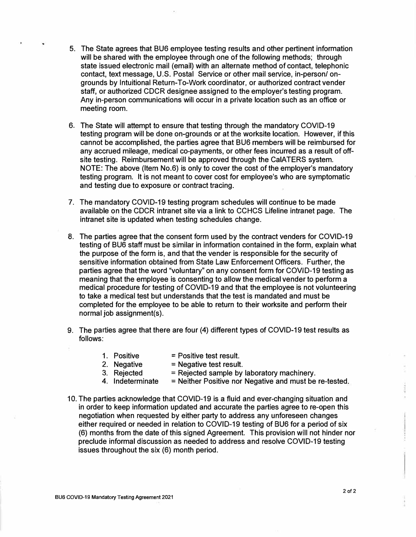- 5. The State agrees that BU6 employee testing results and other pertinent information will be shared with the employee through one of the following methods; through state issued electronic mail (email) with an alternate method of contact, telephonic contact, text message, U.S. Postal Service or other mail service, in-person/ ongrounds by lrituitional Return-To-Work coordinator, or authorized contract vender staff, or authorized CDCR designee assigned to the employer's testing program. Any in-person communications will occur in a private location such as an office or meeting room.
- 6. The State will attempt to ensure that testing through the mandatory COVID-19 testing program will be done on-grounds or at the worksite location. However, if this cannot be accomplished, the parties agree that BU6 members will be reimbursed for any accrued mileage, medical co-payments, or other fees incurred as a result of offsite testing. Reimbursement will be approved through the CalATERS system. NOTE: The above (Item No.6) is only to cover the cost of the employer's mandatory testing program. It is not meant to cover cost for employee's who are symptomatic and testing due to exposure or contract tracing.
- 7. The mandatory COVID-19 testing program schedules will continue to be made available on the CDCR intranet site via a link to CCHCS Lifeline intranet page. The intranet site is updated when testing schedules change.
- 8. The parties agree that the consent form used by the contract venders for COVID-19 testing of BU6 staff must be similar in information contained in the form, explain what the purpose of the form is, and that the vender is responsible for the security of sensitive information obtained from State Law Enforcement Officers. Further, the parties agree that the word "voluntary" on any consent form for COVID-19 testing as meaning that the employee is consenting to allow the medical vender to perform a medical procedure for testing of COVID-19 and that the employee is not volunteering to take a medical test but understands that the test is mandated and must be completed for the employee to be able to return to their worksite and perform their normal job assignment(s).
- 9. The parties agree that there are four (4) different types of COVID-19 test results as follows:
	- 1. Positive = Positive test result.<br>2. Negative = Negative test result
	- 2. Negative  $=$  Negative test result.<br>3. Rejected  $=$  Rejected sample by
		- $=$  Rejected sample by laboratory machinery.
	- 4. Indeterminate  $=$  Neither Positive nor Negative and must be re-tested.
- 10. The parties acknowledge that COVID-19 is a fluid and ever-changing situation and in order to keep information updated and accurate the parties agree to re-open this negotiation when requested by either party to address any unforeseen changes either required or needed in relation to COVID-19 testing of BU6 for a period of six (6) months from the date of this signed Agreement. This provision will not hinder nor preclude informal discussion as needed to address and resolve COVID-19 testing issues throughout the six (6) month period.